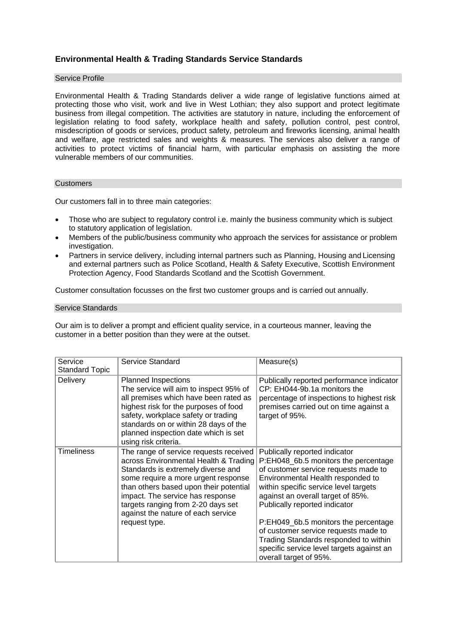# **Environmental Health & Trading Standards Service Standards**

# Service Profile

Environmental Health & Trading Standards deliver a wide range of legislative functions aimed at protecting those who visit, work and live in West Lothian; they also support and protect legitimate business from illegal competition. The activities are statutory in nature, including the enforcement of legislation relating to food safety, workplace health and safety, pollution control, pest control, misdescription of goods or services, product safety, petroleum and fireworks licensing, animal health and welfare, age restricted sales and weights & measures. The services also deliver a range of activities to protect victims of financial harm, with particular emphasis on assisting the more vulnerable members of our communities.

# **Customers**

Our customers fall in to three main categories:

- Those who are subject to regulatory control i.e. mainly the business community which is subject to statutory application of legislation.
- Members of the public/business community who approach the services for assistance or problem investigation.
- Partners in service delivery, including internal partners such as Planning, Housing and Licensing and external partners such as Police Scotland, Health & Safety Executive, Scottish Environment Protection Agency, Food Standards Scotland and the Scottish Government.

Customer consultation focusses on the first two customer groups and is carried out annually.

## Service Standards

Our aim is to deliver a prompt and efficient quality service, in a courteous manner, leaving the customer in a better position than they were at the outset.

| Service<br>Standard Topic | Service Standard                                                                                                                                                                                                                                                                                                                        | Measure(s)                                                                                                                                                                                                                                                                                                                                                                                                                                                        |
|---------------------------|-----------------------------------------------------------------------------------------------------------------------------------------------------------------------------------------------------------------------------------------------------------------------------------------------------------------------------------------|-------------------------------------------------------------------------------------------------------------------------------------------------------------------------------------------------------------------------------------------------------------------------------------------------------------------------------------------------------------------------------------------------------------------------------------------------------------------|
| <b>Delivery</b>           | <b>Planned Inspections</b><br>The service will aim to inspect 95% of<br>all premises which have been rated as<br>highest risk for the purposes of food<br>safety, workplace safety or trading<br>standards on or within 28 days of the<br>planned inspection date which is set<br>using risk criteria.                                  | Publically reported performance indicator<br>CP: EH044-9b.1a monitors the<br>percentage of inspections to highest risk<br>premises carried out on time against a<br>target of 95%.                                                                                                                                                                                                                                                                                |
| Timeliness                | The range of service requests received<br>across Environmental Health & Trading<br>Standards is extremely diverse and<br>some require a more urgent response<br>than others based upon their potential<br>impact. The service has response<br>targets ranging from 2-20 days set<br>against the nature of each service<br>request type. | Publically reported indicator<br>P:EH048_6b.5 monitors the percentage<br>of customer service requests made to<br>Environmental Health responded to<br>within specific service level targets<br>against an overall target of 85%.<br>Publically reported indicator<br>P:EH049_6b.5 monitors the percentage<br>of customer service requests made to<br>Trading Standards responded to within<br>specific service level targets against an<br>overall target of 95%. |